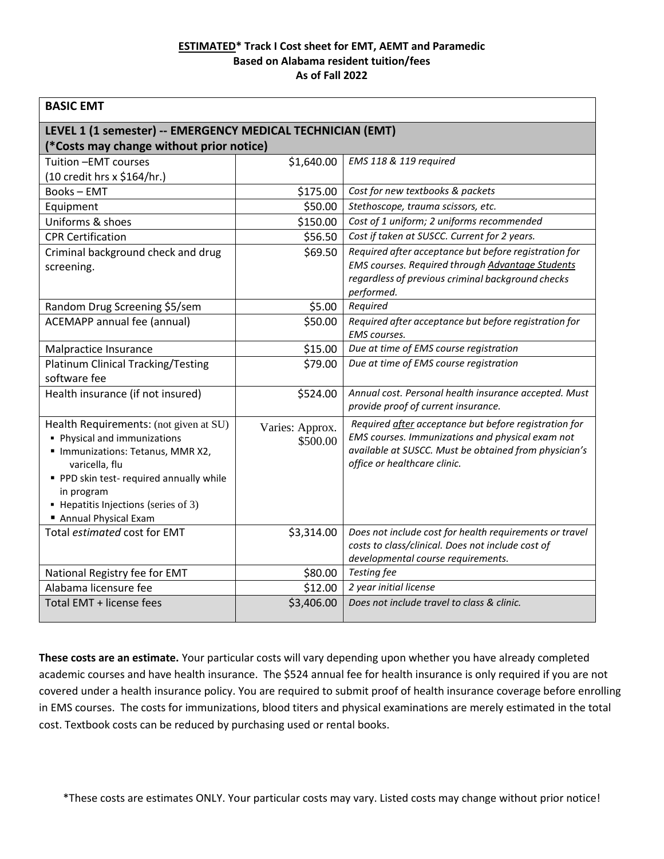## **ESTIMATED\* Track I Cost sheet for EMT, AEMT and Paramedic Based on Alabama resident tuition/fees As of Fall 2022**

| <b>BASIC EMT</b>                                                                                                                                                                                                                                   |                             |                                                                                                                                                                                                    |  |  |
|----------------------------------------------------------------------------------------------------------------------------------------------------------------------------------------------------------------------------------------------------|-----------------------------|----------------------------------------------------------------------------------------------------------------------------------------------------------------------------------------------------|--|--|
| LEVEL 1 (1 semester) -- EMERGENCY MEDICAL TECHNICIAN (EMT)                                                                                                                                                                                         |                             |                                                                                                                                                                                                    |  |  |
| (*Costs may change without prior notice)                                                                                                                                                                                                           |                             |                                                                                                                                                                                                    |  |  |
| Tuition - EMT courses                                                                                                                                                                                                                              | \$1,640.00                  | EMS 118 & 119 required                                                                                                                                                                             |  |  |
| (10 credit hrs x \$164/hr.)                                                                                                                                                                                                                        |                             |                                                                                                                                                                                                    |  |  |
| <b>Books-EMT</b>                                                                                                                                                                                                                                   | \$175.00                    | Cost for new textbooks & packets                                                                                                                                                                   |  |  |
| Equipment                                                                                                                                                                                                                                          | \$50.00                     | Stethoscope, trauma scissors, etc.                                                                                                                                                                 |  |  |
| Uniforms & shoes                                                                                                                                                                                                                                   | \$150.00                    | Cost of 1 uniform; 2 uniforms recommended                                                                                                                                                          |  |  |
| <b>CPR Certification</b>                                                                                                                                                                                                                           | \$56.50                     | Cost if taken at SUSCC. Current for 2 years.                                                                                                                                                       |  |  |
| Criminal background check and drug<br>screening.                                                                                                                                                                                                   | \$69.50                     | Required after acceptance but before registration for<br>EMS courses. Required through Advantage Students<br>regardless of previous criminal background checks<br>performed.                       |  |  |
| Random Drug Screening \$5/sem                                                                                                                                                                                                                      | \$5.00                      | Required                                                                                                                                                                                           |  |  |
| ACEMAPP annual fee (annual)                                                                                                                                                                                                                        | \$50.00                     | Required after acceptance but before registration for<br>EMS courses.                                                                                                                              |  |  |
| Malpractice Insurance                                                                                                                                                                                                                              | \$15.00                     | Due at time of EMS course registration                                                                                                                                                             |  |  |
| <b>Platinum Clinical Tracking/Testing</b><br>software fee                                                                                                                                                                                          | \$79.00                     | Due at time of EMS course registration                                                                                                                                                             |  |  |
| Health insurance (if not insured)                                                                                                                                                                                                                  | \$524.00                    | Annual cost. Personal health insurance accepted. Must<br>provide proof of current insurance.                                                                                                       |  |  |
| Health Requirements: (not given at SU)<br>• Physical and immunizations<br>Immunizations: Tetanus, MMR X2,<br>varicella, flu<br>PPD skin test-required annually while<br>in program<br>• Hepatitis Injections (series of 3)<br>Annual Physical Exam | Varies: Approx.<br>\$500.00 | Required after acceptance but before registration for<br>EMS courses. Immunizations and physical exam not<br>available at SUSCC. Must be obtained from physician's<br>office or healthcare clinic. |  |  |
| Total estimated cost for EMT                                                                                                                                                                                                                       | \$3,314.00                  | Does not include cost for health requirements or travel<br>costs to class/clinical. Does not include cost of<br>developmental course requirements.                                                 |  |  |
| National Registry fee for EMT                                                                                                                                                                                                                      | \$80.00                     | Testing fee                                                                                                                                                                                        |  |  |
| Alabama licensure fee                                                                                                                                                                                                                              | \$12.00                     | 2 year initial license                                                                                                                                                                             |  |  |
| Total EMT + license fees                                                                                                                                                                                                                           | \$3,406.00                  | Does not include travel to class & clinic.                                                                                                                                                         |  |  |

**These costs are an estimate.** Your particular costs will vary depending upon whether you have already completed academic courses and have health insurance. The \$524 annual fee for health insurance is only required if you are not covered under a health insurance policy. You are required to submit proof of health insurance coverage before enrolling in EMS courses. The costs for immunizations, blood titers and physical examinations are merely estimated in the total cost. Textbook costs can be reduced by purchasing used or rental books.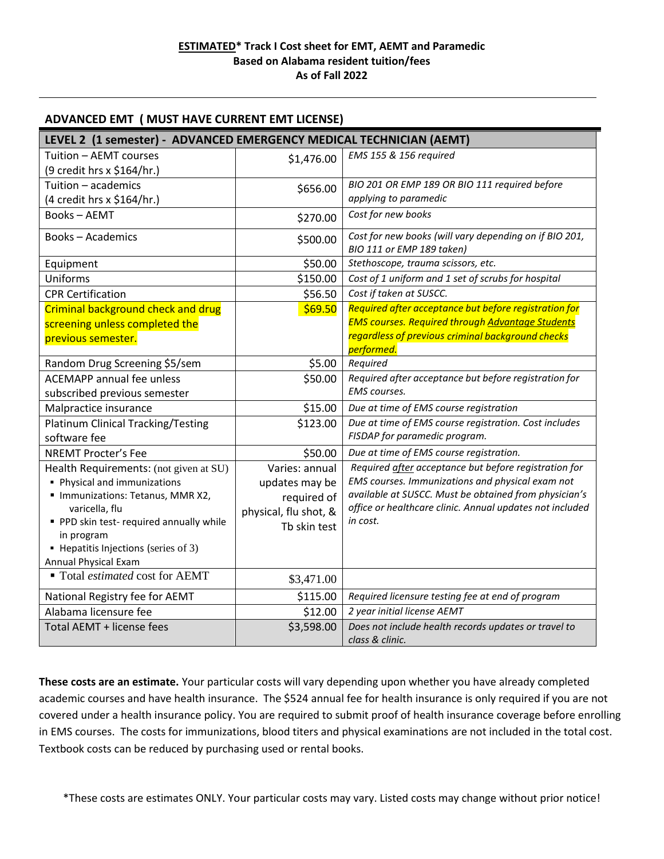## **ADVANCED EMT ( MUST HAVE CURRENT EMT LICENSE)**

| LEVEL 2 (1 semester) - ADVANCED EMERGENCY MEDICAL TECHNICIAN (AEMT) |                       |                                                                                     |  |
|---------------------------------------------------------------------|-----------------------|-------------------------------------------------------------------------------------|--|
| Tuition - AEMT courses                                              | \$1,476.00            | EMS 155 & 156 required                                                              |  |
| (9 credit hrs x \$164/hr.)                                          |                       |                                                                                     |  |
| Tuition - academics                                                 | \$656.00              | BIO 201 OR EMP 189 OR BIO 111 required before                                       |  |
| (4 credit hrs x \$164/hr.)                                          |                       | applying to paramedic                                                               |  |
| <b>Books-AEMT</b>                                                   | \$270.00              | Cost for new books                                                                  |  |
| <b>Books-Academics</b>                                              | \$500.00              | Cost for new books (will vary depending on if BIO 201,<br>BIO 111 or EMP 189 taken) |  |
| Equipment                                                           | \$50.00               | Stethoscope, trauma scissors, etc.                                                  |  |
| Uniforms                                                            | \$150.00              | Cost of 1 uniform and 1 set of scrubs for hospital                                  |  |
| <b>CPR Certification</b>                                            | \$56.50               | Cost if taken at SUSCC.                                                             |  |
| Criminal background check and drug                                  | \$69.50               | Required after acceptance but before registration for                               |  |
| screening unless completed the                                      |                       | <b>EMS courses. Required through Advantage Students</b>                             |  |
| previous semester.                                                  |                       | regardless of previous criminal background checks                                   |  |
|                                                                     |                       | performed.                                                                          |  |
| Random Drug Screening \$5/sem                                       | \$5.00                | Required                                                                            |  |
| <b>ACEMAPP</b> annual fee unless                                    | \$50.00               | Required after acceptance but before registration for                               |  |
| subscribed previous semester                                        |                       | EMS courses.                                                                        |  |
| Malpractice insurance                                               | \$15.00               | Due at time of EMS course registration                                              |  |
| <b>Platinum Clinical Tracking/Testing</b>                           | \$123.00              | Due at time of EMS course registration. Cost includes                               |  |
| software fee                                                        |                       | FISDAP for paramedic program.                                                       |  |
| <b>NREMT Procter's Fee</b>                                          | \$50.00               | Due at time of EMS course registration.                                             |  |
| Health Requirements: (not given at SU)                              | Varies: annual        | Required after acceptance but before registration for                               |  |
| • Physical and immunizations                                        | updates may be        | EMS courses. Immunizations and physical exam not                                    |  |
| Immunizations: Tetanus, MMR X2,                                     | required of           | available at SUSCC. Must be obtained from physician's                               |  |
| varicella, flu                                                      | physical, flu shot, & | office or healthcare clinic. Annual updates not included<br>in cost.                |  |
| PPD skin test-required annually while<br>in program                 | Tb skin test          |                                                                                     |  |
| • Hepatitis Injections (series of 3)                                |                       |                                                                                     |  |
| Annual Physical Exam                                                |                       |                                                                                     |  |
| ■ Total estimated cost for AEMT                                     | \$3,471.00            |                                                                                     |  |
| National Registry fee for AEMT                                      | \$115.00              | Required licensure testing fee at end of program                                    |  |
| Alabama licensure fee                                               | \$12.00               | 2 year initial license AEMT                                                         |  |
| Total AEMT + license fees                                           | \$3,598.00            | Does not include health records updates or travel to<br>class & clinic.             |  |

**These costs are an estimate.** Your particular costs will vary depending upon whether you have already completed academic courses and have health insurance. The \$524 annual fee for health insurance is only required if you are not covered under a health insurance policy. You are required to submit proof of health insurance coverage before enrolling in EMS courses. The costs for immunizations, blood titers and physical examinations are not included in the total cost. Textbook costs can be reduced by purchasing used or rental books.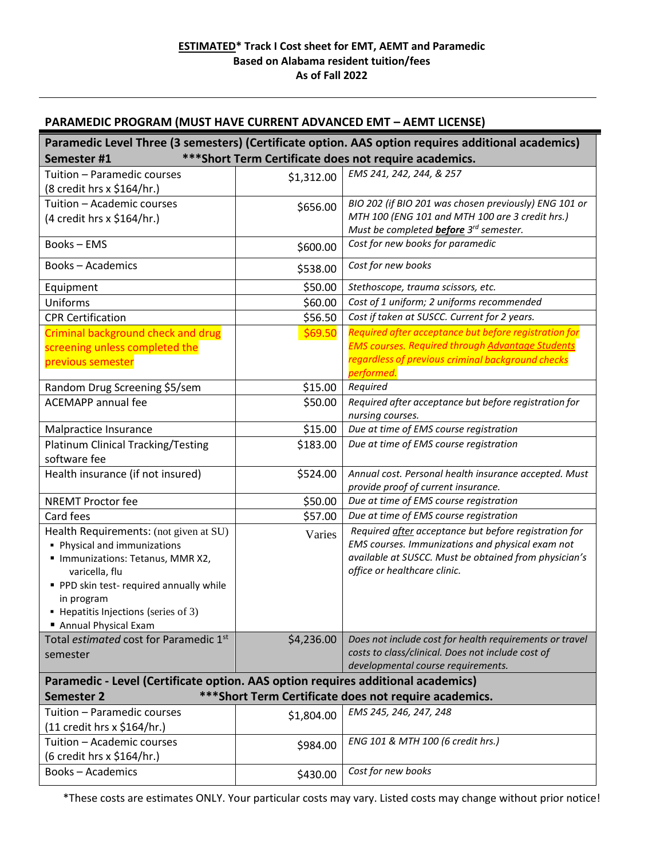## **PARAMEDIC PROGRAM (MUST HAVE CURRENT ADVANCED EMT – AEMT LICENSE)**

| Paramedic Level Three (3 semesters) (Certificate option. AAS option requires additional academics)<br>*** Short Term Certificate does not require academics.    |            |                                                                                                          |  |  |
|-----------------------------------------------------------------------------------------------------------------------------------------------------------------|------------|----------------------------------------------------------------------------------------------------------|--|--|
| Semester #1                                                                                                                                                     |            |                                                                                                          |  |  |
| Tuition - Paramedic courses                                                                                                                                     | \$1,312.00 | EMS 241, 242, 244, & 257                                                                                 |  |  |
| (8 credit hrs x \$164/hr.)                                                                                                                                      |            |                                                                                                          |  |  |
| Tuition - Academic courses                                                                                                                                      | \$656.00   | BIO 202 (if BIO 201 was chosen previously) ENG 101 or<br>MTH 100 (ENG 101 and MTH 100 are 3 credit hrs.) |  |  |
| (4 credit hrs x \$164/hr.)                                                                                                                                      |            | Must be completed <b>before</b> 3 <sup>rd</sup> semester.                                                |  |  |
| <b>Books-EMS</b>                                                                                                                                                | \$600.00   | Cost for new books for paramedic                                                                         |  |  |
|                                                                                                                                                                 |            |                                                                                                          |  |  |
| <b>Books-Academics</b>                                                                                                                                          | \$538.00   | Cost for new books                                                                                       |  |  |
| Equipment                                                                                                                                                       | \$50.00    | Stethoscope, trauma scissors, etc.                                                                       |  |  |
| Uniforms                                                                                                                                                        | \$60.00    | Cost of 1 uniform; 2 uniforms recommended                                                                |  |  |
| <b>CPR Certification</b>                                                                                                                                        | \$56.50    | Cost if taken at SUSCC. Current for 2 years.                                                             |  |  |
| Criminal background check and drug                                                                                                                              | \$69.50    | Required after acceptance but before registration for                                                    |  |  |
| screening unless completed the                                                                                                                                  |            | <b>EMS courses. Required through Advantage Students</b>                                                  |  |  |
| previous semester                                                                                                                                               |            | regardless of previous criminal background checks                                                        |  |  |
|                                                                                                                                                                 |            | performed.                                                                                               |  |  |
| Random Drug Screening \$5/sem                                                                                                                                   | \$15.00    | Required                                                                                                 |  |  |
| <b>ACEMAPP</b> annual fee                                                                                                                                       | \$50.00    | Required after acceptance but before registration for                                                    |  |  |
| Malpractice Insurance                                                                                                                                           | \$15.00    | nursing courses.<br>Due at time of EMS course registration                                               |  |  |
| <b>Platinum Clinical Tracking/Testing</b>                                                                                                                       | \$183.00   | Due at time of EMS course registration                                                                   |  |  |
| software fee                                                                                                                                                    |            |                                                                                                          |  |  |
| Health insurance (if not insured)                                                                                                                               | \$524.00   | Annual cost. Personal health insurance accepted. Must                                                    |  |  |
|                                                                                                                                                                 |            | provide proof of current insurance.                                                                      |  |  |
| <b>NREMT Proctor fee</b>                                                                                                                                        | \$50.00    | Due at time of EMS course registration                                                                   |  |  |
| Card fees                                                                                                                                                       | \$57.00    | Due at time of EMS course registration                                                                   |  |  |
| Health Requirements: (not given at SU)                                                                                                                          | Varies     | Required after acceptance but before registration for                                                    |  |  |
| • Physical and immunizations                                                                                                                                    |            | EMS courses. Immunizations and physical exam not                                                         |  |  |
| " Immunizations: Tetanus, MMR X2,                                                                                                                               |            | available at SUSCC. Must be obtained from physician's                                                    |  |  |
| varicella, flu                                                                                                                                                  |            | office or healthcare clinic.                                                                             |  |  |
| PPD skin test-required annually while                                                                                                                           |            |                                                                                                          |  |  |
| in program                                                                                                                                                      |            |                                                                                                          |  |  |
| • Hepatitis Injections (series of 3)                                                                                                                            |            |                                                                                                          |  |  |
| Annual Physical Exam                                                                                                                                            |            |                                                                                                          |  |  |
| Total estimated cost for Paramedic 1st                                                                                                                          | \$4,236.00 | Does not include cost for health requirements or travel                                                  |  |  |
| semester                                                                                                                                                        |            | costs to class/clinical. Does not include cost of<br>developmental course requirements.                  |  |  |
|                                                                                                                                                                 |            |                                                                                                          |  |  |
| Paramedic - Level (Certificate option. AAS option requires additional academics)<br>*** Short Term Certificate does not require academics.<br><b>Semester 2</b> |            |                                                                                                          |  |  |
| Tuition - Paramedic courses                                                                                                                                     | \$1,804.00 | EMS 245, 246, 247, 248                                                                                   |  |  |
| (11 credit hrs x \$164/hr.)                                                                                                                                     |            |                                                                                                          |  |  |
| Tuition - Academic courses                                                                                                                                      | \$984.00   | ENG 101 & MTH 100 (6 credit hrs.)                                                                        |  |  |
| (6 credit hrs x \$164/hr.)                                                                                                                                      |            |                                                                                                          |  |  |
| <b>Books-Academics</b>                                                                                                                                          | \$430.00   | Cost for new books                                                                                       |  |  |